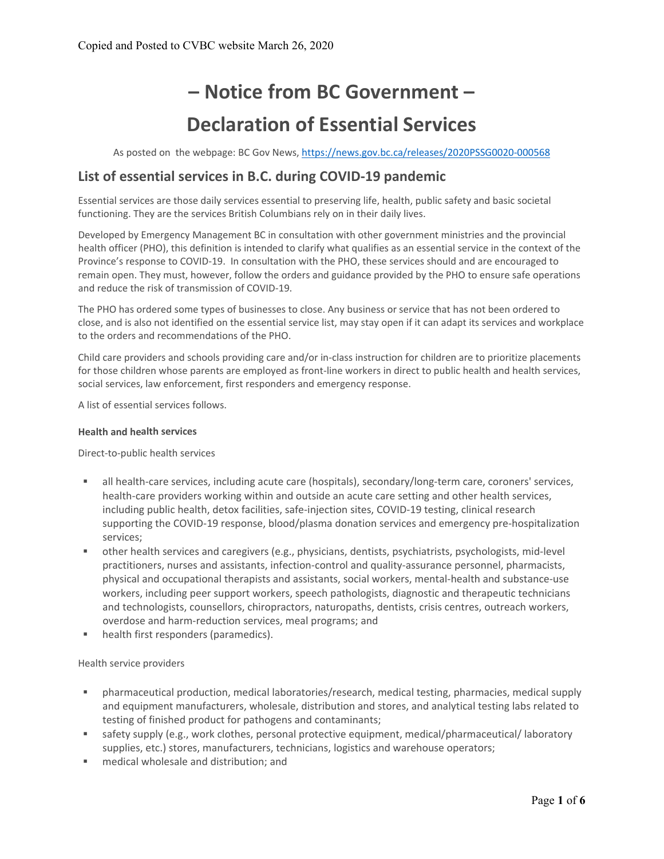# **– Notice from BC Government – Declaration of Essential Services**

As posted on the webpage: BC Gov News, https://news.gov.bc.ca/releases/2020PSSG0020-000568

## **List of essential services in B.C. during COVID‐19 pandemic**

Essential services are those daily services essential to preserving life, health, public safety and basic societal functioning. They are the services British Columbians rely on in their daily lives.

Developed by Emergency Management BC in consultation with other government ministries and the provincial health officer (PHO), this definition is intended to clarify what qualifies as an essential service in the context of the Province's response to COVID‐19. In consultation with the PHO, these services should and are encouraged to remain open. They must, however, follow the orders and guidance provided by the PHO to ensure safe operations and reduce the risk of transmission of COVID‐19.

The PHO has ordered some types of businesses to close. Any business or service that has not been ordered to close, and is also not identified on the essential service list, may stay open if it can adapt its services and workplace to the orders and recommendations of the PHO.

Child care providers and schools providing care and/or in‐class instruction for children are to prioritize placements for those children whose parents are employed as front-line workers in direct to public health and health services, social services, law enforcement, first responders and emergency response.

A list of essential services follows.

#### **Health and health services**

Direct‐to‐public health services

- all health-care services, including acute care (hospitals), secondary/long-term care, coroners' services, health-care providers working within and outside an acute care setting and other health services, including public health, detox facilities, safe-injection sites, COVID-19 testing, clinical research supporting the COVID-19 response, blood/plasma donation services and emergency pre-hospitalization services;
- other health services and caregivers (e.g., physicians, dentists, psychiatrists, psychologists, mid-level practitioners, nurses and assistants, infection‐control and quality‐assurance personnel, pharmacists, physical and occupational therapists and assistants, social workers, mental‐health and substance‐use workers, including peer support workers, speech pathologists, diagnostic and therapeutic technicians and technologists, counsellors, chiropractors, naturopaths, dentists, crisis centres, outreach workers, overdose and harm‐reduction services, meal programs; and
- **health first responders (paramedics).**

#### Health service providers

- pharmaceutical production, medical laboratories/research, medical testing, pharmacies, medical supply and equipment manufacturers, wholesale, distribution and stores, and analytical testing labs related to testing of finished product for pathogens and contaminants;
- safety supply (e.g., work clothes, personal protective equipment, medical/pharmaceutical/ laboratory supplies, etc.) stores, manufacturers, technicians, logistics and warehouse operators;
- medical wholesale and distribution; and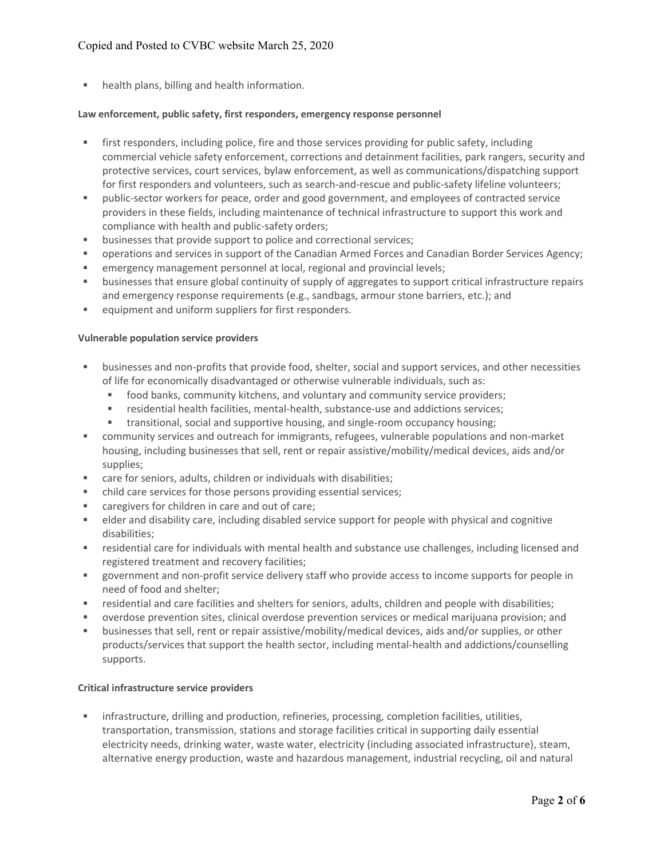### Copied and Posted to CVBC website March 25, 2020

**health plans, billing and health information.** 

#### **Law enforcement, public safety, first responders, emergency response personnel**

- **First responders, including police, fire and those services providing for public safety, including** commercial vehicle safety enforcement, corrections and detainment facilities, park rangers, security and protective services, court services, bylaw enforcement, as well as communications/dispatching support for first responders and volunteers, such as search-and-rescue and public-safety lifeline volunteers;
- public-sector workers for peace, order and good government, and employees of contracted service providers in these fields, including maintenance of technical infrastructure to support this work and compliance with health and public‐safety orders;
- **EXECUTE:** businesses that provide support to police and correctional services;
- operations and services in support of the Canadian Armed Forces and Canadian Border Services Agency;
- emergency management personnel at local, regional and provincial levels;
- businesses that ensure global continuity of supply of aggregates to support critical infrastructure repairs and emergency response requirements (e.g., sandbags, armour stone barriers, etc.); and
- **EXECUTE:** equipment and uniform suppliers for first responders.

#### **Vulnerable population service providers**

- businesses and non-profits that provide food, shelter, social and support services, and other necessities of life for economically disadvantaged or otherwise vulnerable individuals, such as:
	- food banks, community kitchens, and voluntary and community service providers;
	- residential health facilities, mental-health, substance-use and addictions services;
	- transitional, social and supportive housing, and single-room occupancy housing;
- community services and outreach for immigrants, refugees, vulnerable populations and non-market housing, including businesses that sell, rent or repair assistive/mobility/medical devices, aids and/or supplies;
- care for seniors, adults, children or individuals with disabilities;
- child care services for those persons providing essential services;
- caregivers for children in care and out of care;
- elder and disability care, including disabled service support for people with physical and cognitive disabilities;
- residential care for individuals with mental health and substance use challenges, including licensed and registered treatment and recovery facilities;
- government and non-profit service delivery staff who provide access to income supports for people in need of food and shelter;
- residential and care facilities and shelters for seniors, adults, children and people with disabilities;
- overdose prevention sites, clinical overdose prevention services or medical marijuana provision; and
- businesses that sell, rent or repair assistive/mobility/medical devices, aids and/or supplies, or other products/services that support the health sector, including mental‐health and addictions/counselling supports.

#### **Critical infrastructure service providers**

 infrastructure, drilling and production, refineries, processing, completion facilities, utilities, transportation, transmission, stations and storage facilities critical in supporting daily essential electricity needs, drinking water, waste water, electricity (including associated infrastructure), steam, alternative energy production, waste and hazardous management, industrial recycling, oil and natural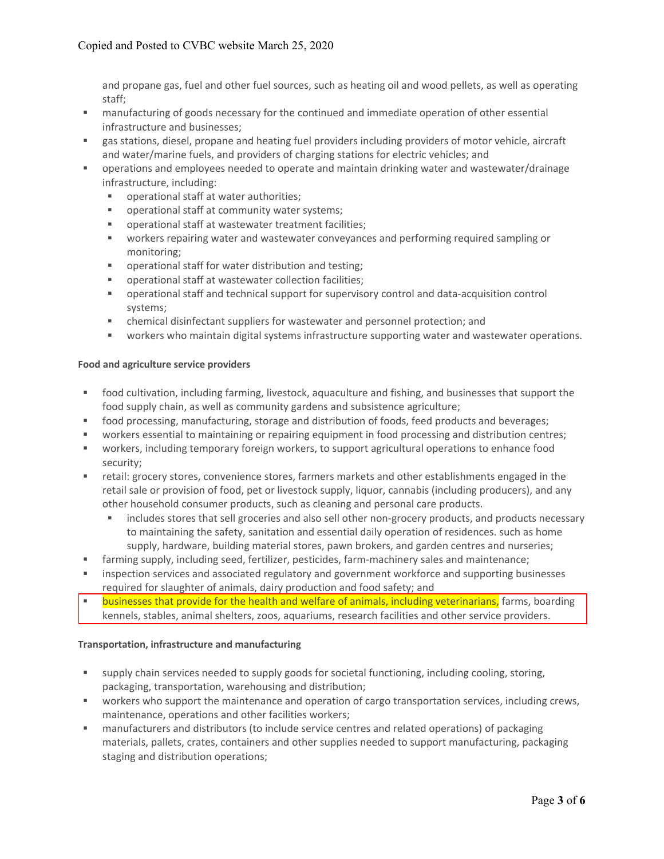and propane gas, fuel and other fuel sources, such as heating oil and wood pellets, as well as operating staff;

- manufacturing of goods necessary for the continued and immediate operation of other essential infrastructure and businesses;
- gas stations, diesel, propane and heating fuel providers including providers of motor vehicle, aircraft and water/marine fuels, and providers of charging stations for electric vehicles; and
- operations and employees needed to operate and maintain drinking water and wastewater/drainage infrastructure, including:
	- operational staff at water authorities;
	- operational staff at community water systems;
	- operational staff at wastewater treatment facilities;
	- workers repairing water and wastewater conveyances and performing required sampling or monitoring;
	- operational staff for water distribution and testing;
	- operational staff at wastewater collection facilities;
	- operational staff and technical support for supervisory control and data-acquisition control systems;
	- chemical disinfectant suppliers for wastewater and personnel protection; and
	- workers who maintain digital systems infrastructure supporting water and wastewater operations.

#### **Food and agriculture service providers**

- food cultivation, including farming, livestock, aquaculture and fishing, and businesses that support the food supply chain, as well as community gardens and subsistence agriculture;
- food processing, manufacturing, storage and distribution of foods, feed products and beverages;
- workers essential to maintaining or repairing equipment in food processing and distribution centres;
- workers, including temporary foreign workers, to support agricultural operations to enhance food security;
- retail: grocery stores, convenience stores, farmers markets and other establishments engaged in the retail sale or provision of food, pet or livestock supply, liquor, cannabis (including producers), and any other household consumer products, such as cleaning and personal care products.
	- includes stores that sell groceries and also sell other non-grocery products, and products necessary to maintaining the safety, sanitation and essential daily operation of residences. such as home supply, hardware, building material stores, pawn brokers, and garden centres and nurseries;
- farming supply, including seed, fertilizer, pesticides, farm-machinery sales and maintenance;
- **EXECT** inspection services and associated regulatory and government workforce and supporting businesses required for slaughter of animals, dairy production and food safety; and
- **Example 3** businesses that provide for the health and welfare of animals, including veterinarians, farms, boarding kennels, stables, animal shelters, zoos, aquariums, research facilities and other service providers.

#### **Transportation, infrastructure and manufacturing**

- supply chain services needed to supply goods for societal functioning, including cooling, storing, packaging, transportation, warehousing and distribution;
- workers who support the maintenance and operation of cargo transportation services, including crews, maintenance, operations and other facilities workers;
- manufacturers and distributors (to include service centres and related operations) of packaging materials, pallets, crates, containers and other supplies needed to support manufacturing, packaging staging and distribution operations;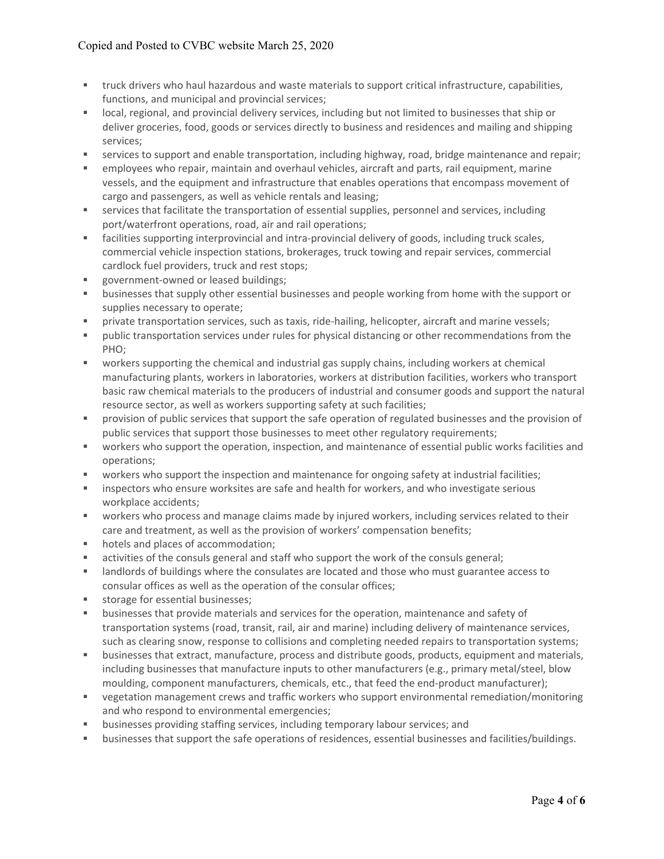- truck drivers who haul hazardous and waste materials to support critical infrastructure, capabilities, functions, and municipal and provincial services;
- local, regional, and provincial delivery services, including but not limited to businesses that ship or deliver groceries, food, goods or services directly to business and residences and mailing and shipping services;
- services to support and enable transportation, including highway, road, bridge maintenance and repair;
- employees who repair, maintain and overhaul vehicles, aircraft and parts, rail equipment, marine vessels, and the equipment and infrastructure that enables operations that encompass movement of cargo and passengers, as well as vehicle rentals and leasing;
- services that facilitate the transportation of essential supplies, personnel and services, including port/waterfront operations, road, air and rail operations;
- facilities supporting interprovincial and intra-provincial delivery of goods, including truck scales, commercial vehicle inspection stations, brokerages, truck towing and repair services, commercial cardlock fuel providers, truck and rest stops;
- government-owned or leased buildings;
- **EXECT** businesses that supply other essential businesses and people working from home with the support or supplies necessary to operate;
- private transportation services, such as taxis, ride‐hailing, helicopter, aircraft and marine vessels;
- public transportation services under rules for physical distancing or other recommendations from the PHO;
- workers supporting the chemical and industrial gas supply chains, including workers at chemical manufacturing plants, workers in laboratories, workers at distribution facilities, workers who transport basic raw chemical materials to the producers of industrial and consumer goods and support the natural resource sector, as well as workers supporting safety at such facilities;
- **PEDIED 10** provision of public services that support the safe operation of regulated businesses and the provision of public services that support those businesses to meet other regulatory requirements;
- workers who support the operation, inspection, and maintenance of essential public works facilities and operations;
- workers who support the inspection and maintenance for ongoing safety at industrial facilities;
- inspectors who ensure worksites are safe and health for workers, and who investigate serious workplace accidents;
- workers who process and manage claims made by injured workers, including services related to their care and treatment, as well as the provision of workers' compensation benefits;
- **hotels and places of accommodation;**
- activities of the consuls general and staff who support the work of the consuls general;
- landlords of buildings where the consulates are located and those who must guarantee access to consular offices as well as the operation of the consular offices;
- **storage for essential businesses;**
- **EXECT** businesses that provide materials and services for the operation, maintenance and safety of transportation systems (road, transit, rail, air and marine) including delivery of maintenance services, such as clearing snow, response to collisions and completing needed repairs to transportation systems;
- businesses that extract, manufacture, process and distribute goods, products, equipment and materials, including businesses that manufacture inputs to other manufacturers (e.g., primary metal/steel, blow moulding, component manufacturers, chemicals, etc., that feed the end-product manufacturer);
- vegetation management crews and traffic workers who support environmental remediation/monitoring and who respond to environmental emergencies;
- businesses providing staffing services, including temporary labour services; and
- businesses that support the safe operations of residences, essential businesses and facilities/buildings.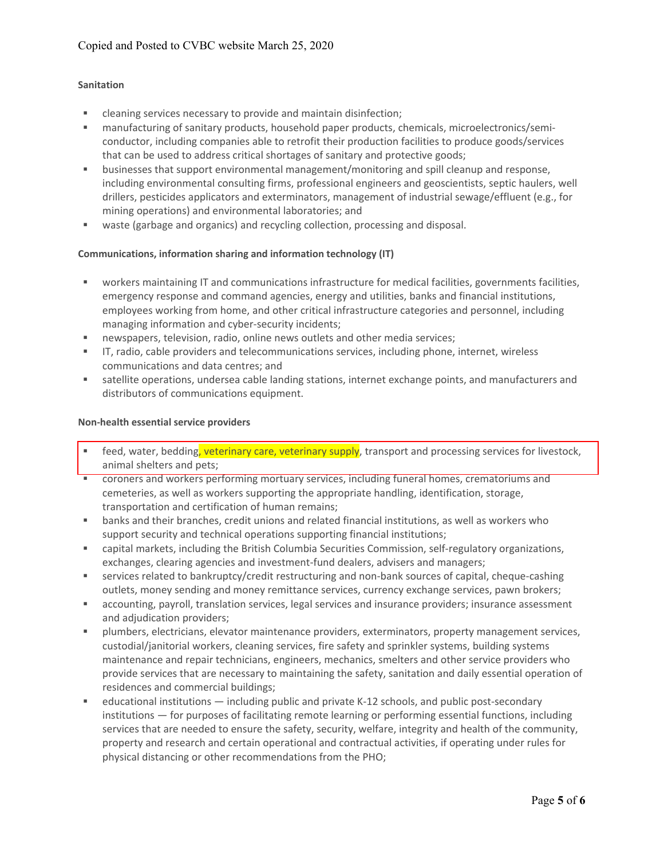#### **Sanitation**

- cleaning services necessary to provide and maintain disinfection;
- manufacturing of sanitary products, household paper products, chemicals, microelectronics/semiconductor, including companies able to retrofit their production facilities to produce goods/services that can be used to address critical shortages of sanitary and protective goods;
- businesses that support environmental management/monitoring and spill cleanup and response, including environmental consulting firms, professional engineers and geoscientists, septic haulers, well drillers, pesticides applicators and exterminators, management of industrial sewage/effluent (e.g., for mining operations) and environmental laboratories; and
- waste (garbage and organics) and recycling collection, processing and disposal.

#### **Communications, information sharing and information technology (IT)**

- workers maintaining IT and communications infrastructure for medical facilities, governments facilities, emergency response and command agencies, energy and utilities, banks and financial institutions, employees working from home, and other critical infrastructure categories and personnel, including managing information and cyber‐security incidents;
- newspapers, television, radio, online news outlets and other media services;
- IT, radio, cable providers and telecommunications services, including phone, internet, wireless communications and data centres; and
- satellite operations, undersea cable landing stations, internet exchange points, and manufacturers and distributors of communications equipment.

#### **Non‐health essential service providers**

- feed, water, bedding, veterinary care, veterinary supply, transport and processing services for livestock, animal shelters and pets;
- coroners and workers performing mortuary services, including funeral homes, crematoriums and cemeteries, as well as workers supporting the appropriate handling, identification, storage, transportation and certification of human remains;
- banks and their branches, credit unions and related financial institutions, as well as workers who support security and technical operations supporting financial institutions;
- capital markets, including the British Columbia Securities Commission, self-regulatory organizations, exchanges, clearing agencies and investment-fund dealers, advisers and managers;
- services related to bankruptcy/credit restructuring and non-bank sources of capital, cheque-cashing outlets, money sending and money remittance services, currency exchange services, pawn brokers;
- accounting, payroll, translation services, legal services and insurance providers; insurance assessment and adjudication providers;
- plumbers, electricians, elevator maintenance providers, exterminators, property management services, custodial/janitorial workers, cleaning services, fire safety and sprinkler systems, building systems maintenance and repair technicians, engineers, mechanics, smelters and other service providers who provide services that are necessary to maintaining the safety, sanitation and daily essential operation of residences and commercial buildings;
- educational institutions including public and private K-12 schools, and public post-secondary institutions — for purposes of facilitating remote learning or performing essential functions, including services that are needed to ensure the safety, security, welfare, integrity and health of the community, property and research and certain operational and contractual activities, if operating under rules for physical distancing or other recommendations from the PHO;